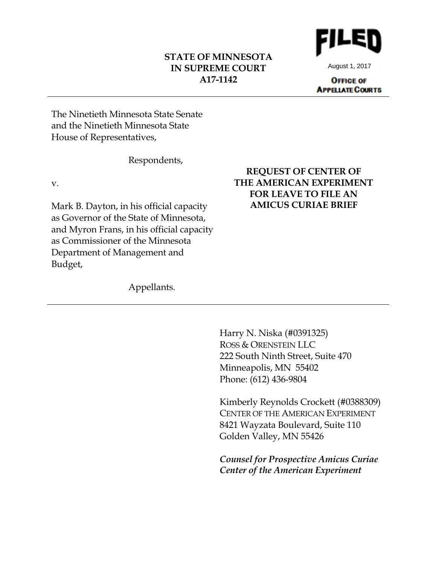## **STATE OF MINNESOTA IN SUPREME COURT A17-1142**



August 1, 2017

**OFFICE OF APPELATE COURTS** 

The Ninetieth Minnesota State Senate and the Ninetieth Minnesota State House of Representatives,

Respondents,

v.

Mark B. Dayton, in his official capacity as Governor of the State of Minnesota, and Myron Frans, in his official capacity as Commissioner of the Minnesota Department of Management and Budget,

# **REQUEST OF CENTER OF THE AMERICAN EXPERIMENT FOR LEAVE TO FILE AN AMICUS CURIAE BRIEF**

Appellants.

Harry N. Niska (#0391325) ROSS & ORENSTEIN LLC 222 South Ninth Street, Suite 470 Minneapolis, MN 55402 Phone: (612) 436-9804

Kimberly Reynolds Crockett (#0388309) CENTER OF THE AMERICAN EXPERIMENT 8421 Wayzata Boulevard, Suite 110 Golden Valley, MN 55426

*Counsel for Prospective Amicus Curiae Center of the American Experiment*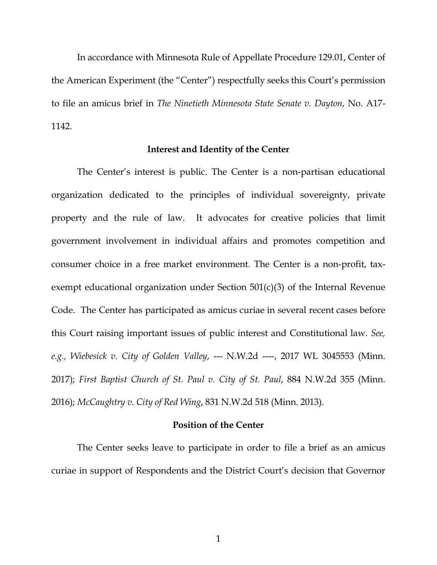In accordance with Minnesota Rule of Appellate Procedure 129.01, Center of the American Experiment (the "Center") respectfully seeks this Court's permission to file an amicus brief in *The Ninetieth Minnesota State Senate v. Dayton*, No. A17- 1142.

#### **Interest and Identity of the Center**

The Center's interest is public. The Center is a non-partisan educational organization dedicated to the principles of individual sovereignty, private property and the rule of law. It advocates for creative policies that limit government involvement in individual affairs and promotes competition and consumer choice in a free market environment. The Center is a non-profit, taxexempt educational organization under Section 501(c)(3) of the Internal Revenue Code. The Center has participated as amicus curiae in several recent cases before this Court raising important issues of public interest and Constitutional law. *See, e.g., Wiebesick v. City of Golden Valley*, --- N.W.2d ----, 2017 WL 3045553 (Minn. 2017); *First Baptist Church of St. Paul v. City of St. Paul*, 884 N.W.2d 355 (Minn. 2016); *McCaughtry v. City of Red Wing*, 831 N.W.2d 518 (Minn. 2013).

## **Position of the Center**

The Center seeks leave to participate in order to file a brief as an amicus curiae in support of Respondents and the District Court's decision that Governor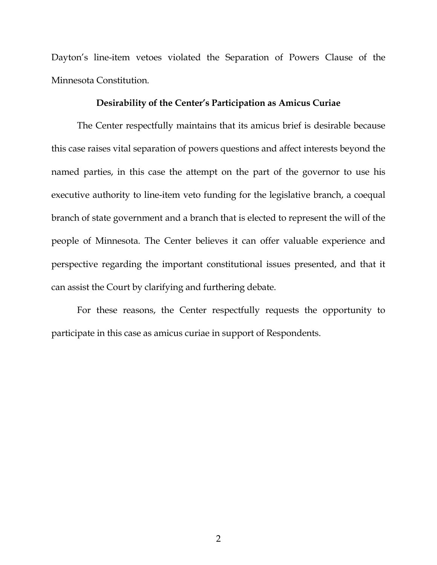Dayton's line-item vetoes violated the Separation of Powers Clause of the Minnesota Constitution.

## **Desirability of the Center's Participation as Amicus Curiae**

The Center respectfully maintains that its amicus brief is desirable because this case raises vital separation of powers questions and affect interests beyond the named parties, in this case the attempt on the part of the governor to use his executive authority to line-item veto funding for the legislative branch, a coequal branch of state government and a branch that is elected to represent the will of the people of Minnesota. The Center believes it can offer valuable experience and perspective regarding the important constitutional issues presented, and that it can assist the Court by clarifying and furthering debate.

For these reasons, the Center respectfully requests the opportunity to participate in this case as amicus curiae in support of Respondents.